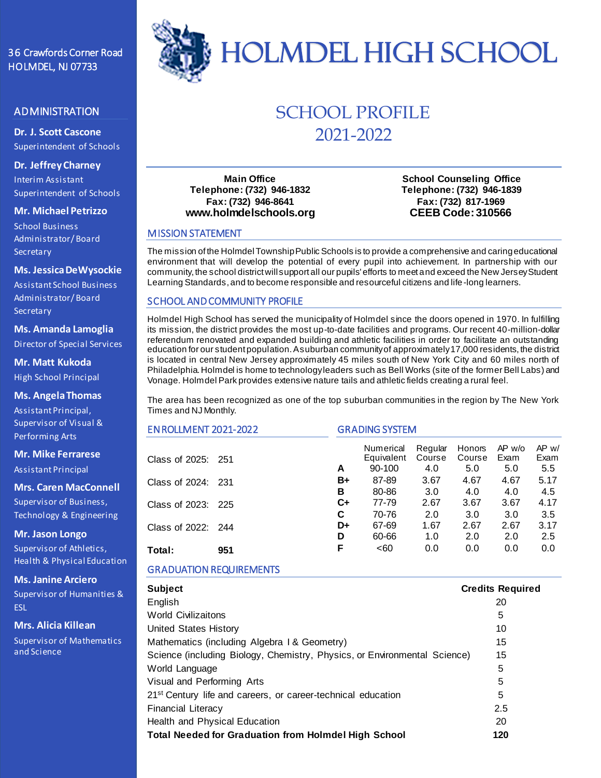# 36 Crawfords Corner Road

# ADMINISTRATION

**Dr. J. Scott Cascone** Superintendent of Schools

**Dr. Jeffrey Charney** Interim Assistant Superintendent of Schools

**Mr. Michael Petrizzo**

School Business Administrator/ Board **Secretary** 

#### **Ms. Jessica DeWysockie**

Assistant School Business Administrator/ Board **Secretary** 

# **Ms. Amanda Lamoglia**

Director of Special Services

**Mr. Matt Kukoda** High School Principal

## **Ms. Angela Thomas**

Assistant Principal, Supervisor of Visual & Performing Arts

**Mr. Mike Ferrarese**

Assistant Principal

**Mrs. Caren MacConnell**

Supervisor of Business, Technology & Engineering

**Mr. Jason Longo**

Supervisor of Athletics, Health & Physical Education

**Ms. Janine Arciero**

Supervisor of Humanities & ESL

**Mrs. Alicia Killean**

Supervisor of Mathematics and Science



# SCHOOL PROFILE 2021-2022

**Main Office Telephone: (732) 946-1832 Fax: (732) 946-8641 www.holmdelschools.org**

**School Counseling Office Telephone: (732) 946-1839 Fax: (732) 817-1969 CEEB Code: 310566**

## MISSION STATEMENT

The mission of the HolmdelTownship Public Schools is to provide a comprehensive and caring educational environment that will develop the potential of every pupil into achievement. In partnership with our community, the school district will support all our pupils' efforts to meet and exceed the New Jersey Student Learning Standards, and to become responsible and resourceful citizens and life-long learners.

## SCHOOL AND COMMUNITY PROFILE

Holmdel High School has served the municipality of Holmdel since the doors opened in 1970. In fulfilling its mission, the district provides the most up-to-date facilities and programs. Our recent 40-million-dollar referendum renovated and expanded building and athletic facilities in order to facilitate an outstanding education for our student population. A suburban community of approximately 17,000 residents, the district is located in central New Jersey approximately 45 miles south of New York City and 60 miles north of Philadelphia. Holmdel is home to technology leaders such as Bell Works (site of the former Bell Labs) and Vonage. Holmdel Park provides extensive nature tails and athletic fields creating a rural feel.

The area has been recognized as one of the top suburban communities in the region by The New York Times and NJ Monthly.

| <b>EN ROLLMENT 2021-2022</b> |     | <b>GRADING SYSTEM</b> |                                   |                          |                         |                         |                      |
|------------------------------|-----|-----------------------|-----------------------------------|--------------------------|-------------------------|-------------------------|----------------------|
| Class of 2025: 251           |     | A                     | Numerical<br>Equivalent<br>90-100 | Regular<br>Course<br>4.0 | Honors<br>Course<br>5.0 | $AP$ w/o<br>Exam<br>5.0 | AP w/<br>Exam<br>5.5 |
| Class of 2024: 231           |     | B+<br>в               | 87-89<br>80-86                    | 3.67<br>3.0              | 4.67<br>4.0             | 4.67<br>4.0             | 5.17<br>4.5          |
| Class of 2023: 225           |     | C+<br>C               | 77-79<br>70-76                    | 2.67<br>2.0              | 3.67<br>3.0             | 3.67<br>3.0             | 4.17<br>3.5          |
| Class of 2022: 244           |     | D+<br>D               | 67-69<br>60-66                    | 1.67<br>1.0              | 2.67<br>2.0             | 2.67<br>2.0             | 3.17<br>2.5          |
| Total:                       | 951 | F                     | <60                               | 0.0                      | 0.0                     | 0.0                     | 0.0                  |

# GRADUATION REQUIREMENTS

| <b>Subject</b>                                                            | <b>Credits Required</b> |
|---------------------------------------------------------------------------|-------------------------|
| English                                                                   | 20                      |
| <b>World Civilizaitons</b>                                                | 5                       |
| United States History                                                     | 10                      |
| Mathematics (including Algebra 1 & Geometry)                              | 15                      |
| Science (including Biology, Chemistry, Physics, or Environmental Science) | 15                      |
| World Language                                                            | 5                       |
| Visual and Performing Arts                                                | 5                       |
| 21 <sup>st</sup> Century life and careers, or career-technical education  | 5                       |
| <b>Financial Literacy</b>                                                 | 2.5                     |
| Health and Physical Education                                             | 20                      |
| <b>Total Needed for Graduation from Holmdel High School</b>               | 120                     |